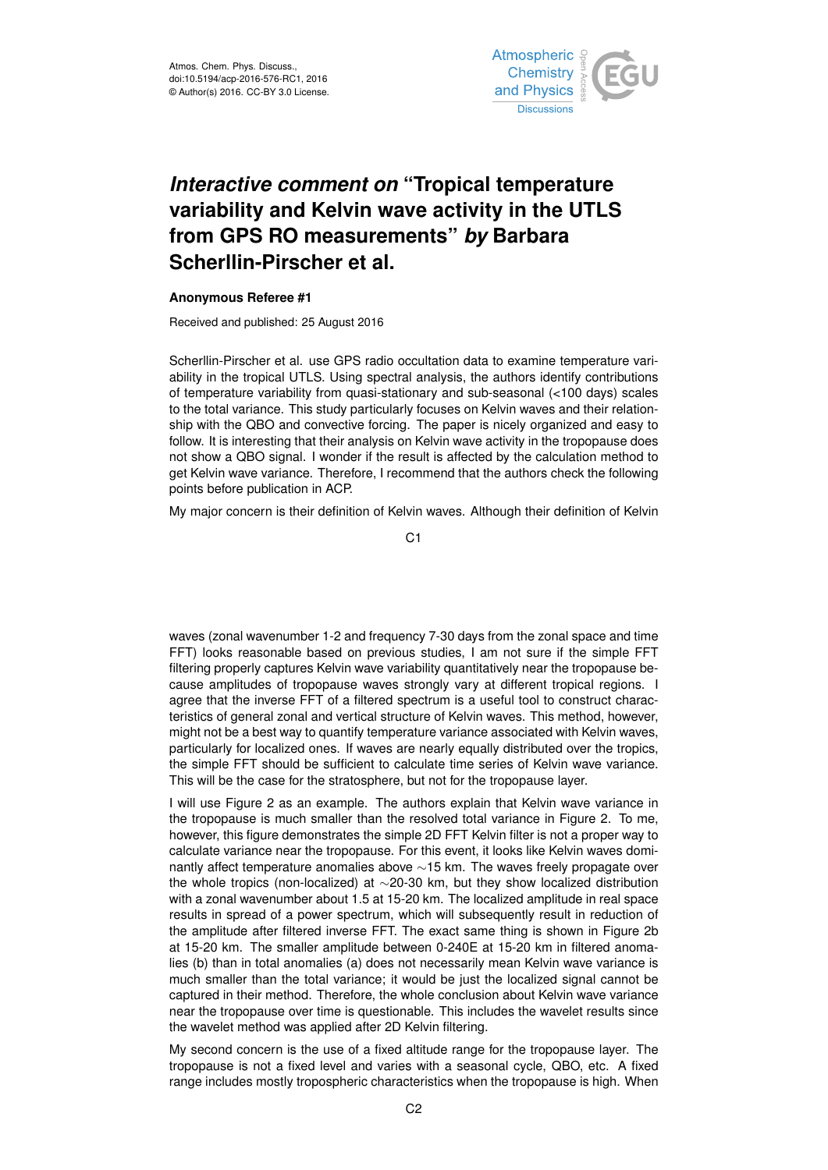

## *Interactive comment on* **"Tropical temperature variability and Kelvin wave activity in the UTLS from GPS RO measurements"** *by* **Barbara Scherllin-Pirscher et al.**

## **Anonymous Referee #1**

Received and published: 25 August 2016

Scherllin-Pirscher et al. use GPS radio occultation data to examine temperature variability in the tropical UTLS. Using spectral analysis, the authors identify contributions of temperature variability from quasi-stationary and sub-seasonal (<100 days) scales to the total variance. This study particularly focuses on Kelvin waves and their relationship with the QBO and convective forcing. The paper is nicely organized and easy to follow. It is interesting that their analysis on Kelvin wave activity in the tropopause does not show a QBO signal. I wonder if the result is affected by the calculation method to get Kelvin wave variance. Therefore, I recommend that the authors check the following points before publication in ACP.

My major concern is their definition of Kelvin waves. Although their definition of Kelvin

C<sub>1</sub>

waves (zonal wavenumber 1-2 and frequency 7-30 days from the zonal space and time FFT) looks reasonable based on previous studies, I am not sure if the simple FFT filtering properly captures Kelvin wave variability quantitatively near the tropopause because amplitudes of tropopause waves strongly vary at different tropical regions. I agree that the inverse FFT of a filtered spectrum is a useful tool to construct characteristics of general zonal and vertical structure of Kelvin waves. This method, however, might not be a best way to quantify temperature variance associated with Kelvin waves, particularly for localized ones. If waves are nearly equally distributed over the tropics, the simple FFT should be sufficient to calculate time series of Kelvin wave variance. This will be the case for the stratosphere, but not for the tropopause layer.

I will use Figure 2 as an example. The authors explain that Kelvin wave variance in the tropopause is much smaller than the resolved total variance in Figure 2. To me, however, this figure demonstrates the simple 2D FFT Kelvin filter is not a proper way to calculate variance near the tropopause. For this event, it looks like Kelvin waves dominantly affect temperature anomalies above ∼15 km. The waves freely propagate over the whole tropics (non-localized) at ∼20-30 km, but they show localized distribution with a zonal wavenumber about 1.5 at 15-20 km. The localized amplitude in real space results in spread of a power spectrum, which will subsequently result in reduction of the amplitude after filtered inverse FFT. The exact same thing is shown in Figure 2b at 15-20 km. The smaller amplitude between 0-240E at 15-20 km in filtered anomalies (b) than in total anomalies (a) does not necessarily mean Kelvin wave variance is much smaller than the total variance; it would be just the localized signal cannot be captured in their method. Therefore, the whole conclusion about Kelvin wave variance near the tropopause over time is questionable. This includes the wavelet results since the wavelet method was applied after 2D Kelvin filtering.

My second concern is the use of a fixed altitude range for the tropopause layer. The tropopause is not a fixed level and varies with a seasonal cycle, QBO, etc. A fixed range includes mostly tropospheric characteristics when the tropopause is high. When